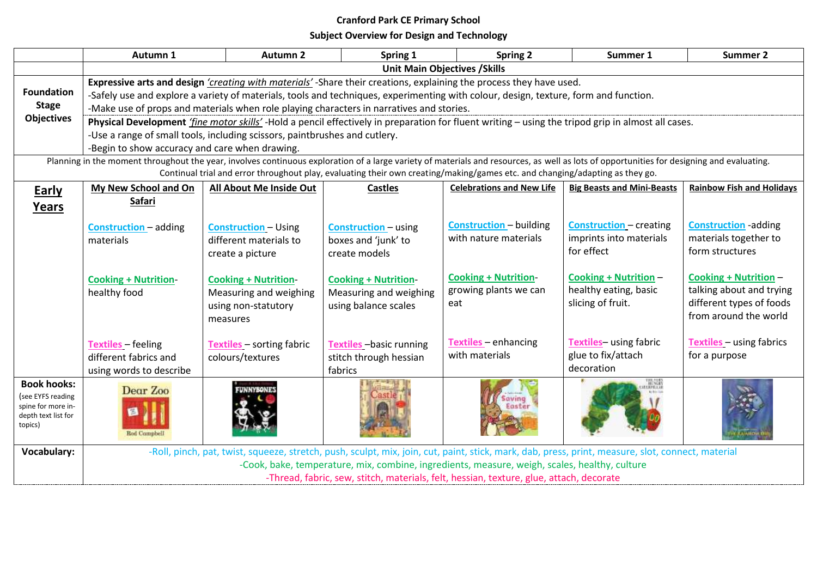## **Cranford Park CE Primary School**

**Subject Overview for Design and Technology**

|                                | Autumn 1                                                                                                                                                                                                                                                                                                                                                | <b>Autumn 2</b>                  | Spring 1                          | <b>Spring 2</b>                                                                                                              | Summer 1                                                                                                                                          | <b>Summer 2</b>                                  |  |  |
|--------------------------------|---------------------------------------------------------------------------------------------------------------------------------------------------------------------------------------------------------------------------------------------------------------------------------------------------------------------------------------------------------|----------------------------------|-----------------------------------|------------------------------------------------------------------------------------------------------------------------------|---------------------------------------------------------------------------------------------------------------------------------------------------|--------------------------------------------------|--|--|
|                                | <b>Unit Main Objectives / Skills</b>                                                                                                                                                                                                                                                                                                                    |                                  |                                   |                                                                                                                              |                                                                                                                                                   |                                                  |  |  |
| <b>Foundation</b>              | Expressive arts and design 'creating with materials' -Share their creations, explaining the process they have used.<br>-Safely use and explore a variety of materials, tools and techniques, experimenting with colour, design, texture, form and function.<br>-Make use of props and materials when role playing characters in narratives and stories. |                                  |                                   |                                                                                                                              |                                                                                                                                                   |                                                  |  |  |
| <b>Stage</b>                   |                                                                                                                                                                                                                                                                                                                                                         |                                  |                                   |                                                                                                                              |                                                                                                                                                   |                                                  |  |  |
| <b>Objectives</b>              |                                                                                                                                                                                                                                                                                                                                                         |                                  |                                   |                                                                                                                              |                                                                                                                                                   |                                                  |  |  |
|                                | Physical Development 'fine motor skills'-Hold a pencil effectively in preparation for fluent writing - using the tripod grip in almost all cases.                                                                                                                                                                                                       |                                  |                                   |                                                                                                                              |                                                                                                                                                   |                                                  |  |  |
|                                | -Use a range of small tools, including scissors, paintbrushes and cutlery.<br>-Begin to show accuracy and care when drawing.                                                                                                                                                                                                                            |                                  |                                   |                                                                                                                              |                                                                                                                                                   |                                                  |  |  |
|                                | Planning in the moment throughout the year, involves continuous exploration of a large variety of materials and resources, as well as lots of opportunities for designing and evaluating.                                                                                                                                                               |                                  |                                   |                                                                                                                              |                                                                                                                                                   |                                                  |  |  |
|                                |                                                                                                                                                                                                                                                                                                                                                         |                                  |                                   | Continual trial and error throughout play, evaluating their own creating/making/games etc. and changing/adapting as they go. |                                                                                                                                                   |                                                  |  |  |
| <b>Early</b>                   | My New School and On                                                                                                                                                                                                                                                                                                                                    | All About Me Inside Out          | <b>Castles</b>                    | <b>Celebrations and New Life</b>                                                                                             | <b>Big Beasts and Mini-Beasts</b>                                                                                                                 | <b>Rainbow Fish and Holidays</b>                 |  |  |
| Years                          | Safari                                                                                                                                                                                                                                                                                                                                                  |                                  |                                   |                                                                                                                              |                                                                                                                                                   |                                                  |  |  |
|                                |                                                                                                                                                                                                                                                                                                                                                         |                                  |                                   |                                                                                                                              |                                                                                                                                                   |                                                  |  |  |
|                                | <b>Construction</b> - adding                                                                                                                                                                                                                                                                                                                            | <b>Construction - Using</b>      | <b>Construction</b> - using       | <b>Construction</b> - building<br>with nature materials                                                                      | <b>Construction</b> - creating                                                                                                                    | <b>Construction</b> -adding                      |  |  |
|                                | materials                                                                                                                                                                                                                                                                                                                                               | different materials to           | boxes and 'junk' to               |                                                                                                                              | imprints into materials<br>for effect                                                                                                             | materials together to<br>form structures         |  |  |
|                                |                                                                                                                                                                                                                                                                                                                                                         | create a picture                 | create models                     |                                                                                                                              |                                                                                                                                                   |                                                  |  |  |
|                                | <b>Cooking + Nutrition-</b>                                                                                                                                                                                                                                                                                                                             | <b>Cooking + Nutrition-</b>      | <b>Cooking + Nutrition-</b>       | <b>Cooking + Nutrition-</b>                                                                                                  | <b>Cooking + Nutrition -</b>                                                                                                                      | <b>Cooking + Nutrition -</b>                     |  |  |
|                                | healthy food                                                                                                                                                                                                                                                                                                                                            | Measuring and weighing           | Measuring and weighing            | growing plants we can                                                                                                        | healthy eating, basic                                                                                                                             | talking about and trying                         |  |  |
|                                |                                                                                                                                                                                                                                                                                                                                                         | using non-statutory              | using balance scales              | eat                                                                                                                          | slicing of fruit.                                                                                                                                 | different types of foods                         |  |  |
|                                |                                                                                                                                                                                                                                                                                                                                                         | measures                         |                                   |                                                                                                                              |                                                                                                                                                   | from around the world                            |  |  |
|                                |                                                                                                                                                                                                                                                                                                                                                         |                                  |                                   |                                                                                                                              |                                                                                                                                                   |                                                  |  |  |
|                                | <b>Textiles</b> - feeling                                                                                                                                                                                                                                                                                                                               | <b>Textiles</b> - sorting fabric | Textiles - basic running          | Textiles - enhancing<br>with materials                                                                                       | Textiles-using fabric<br>glue to fix/attach                                                                                                       | <b>Textiles</b> - using fabrics<br>for a purpose |  |  |
|                                | different fabrics and                                                                                                                                                                                                                                                                                                                                   | colours/textures                 | stitch through hessian<br>fabrics |                                                                                                                              | decoration                                                                                                                                        |                                                  |  |  |
| <b>Book hooks:</b>             | using words to describe                                                                                                                                                                                                                                                                                                                                 |                                  |                                   |                                                                                                                              |                                                                                                                                                   |                                                  |  |  |
| (see EYFS reading              | Dear Zoo                                                                                                                                                                                                                                                                                                                                                |                                  |                                   | avine                                                                                                                        |                                                                                                                                                   |                                                  |  |  |
| spine for more in-             |                                                                                                                                                                                                                                                                                                                                                         |                                  |                                   |                                                                                                                              |                                                                                                                                                   |                                                  |  |  |
| depth text list for<br>topics) |                                                                                                                                                                                                                                                                                                                                                         |                                  |                                   |                                                                                                                              |                                                                                                                                                   |                                                  |  |  |
|                                | <b>Rod Compbell</b>                                                                                                                                                                                                                                                                                                                                     |                                  |                                   |                                                                                                                              |                                                                                                                                                   |                                                  |  |  |
| <b>Vocabulary:</b>             |                                                                                                                                                                                                                                                                                                                                                         |                                  |                                   |                                                                                                                              | -Roll, pinch, pat, twist, squeeze, stretch, push, sculpt, mix, join, cut, paint, stick, mark, dab, press, print, measure, slot, connect, material |                                                  |  |  |
|                                | -Cook, bake, temperature, mix, combine, ingredients, measure, weigh, scales, healthy, culture                                                                                                                                                                                                                                                           |                                  |                                   |                                                                                                                              |                                                                                                                                                   |                                                  |  |  |
|                                | -Thread, fabric, sew, stitch, materials, felt, hessian, texture, glue, attach, decorate                                                                                                                                                                                                                                                                 |                                  |                                   |                                                                                                                              |                                                                                                                                                   |                                                  |  |  |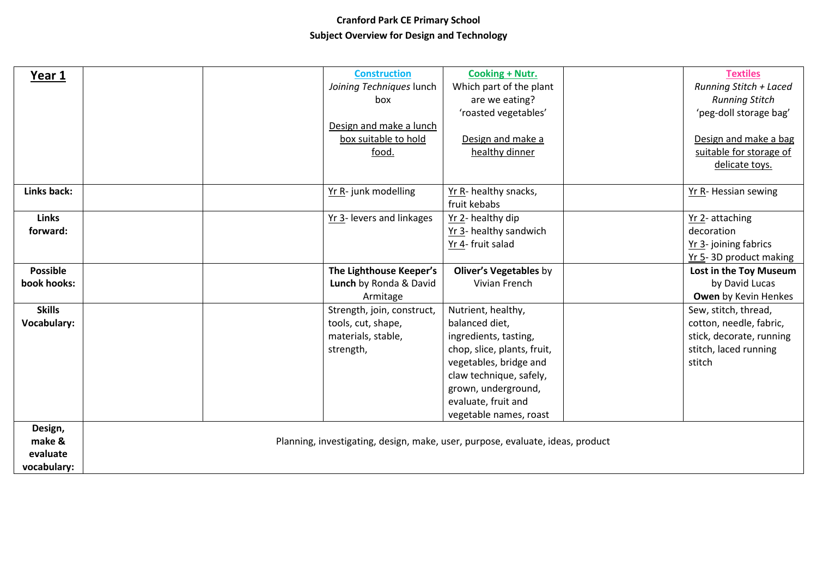## **Cranford Park CE Primary School Subject Overview for Design and Technology**

| Year 1             |  | <b>Construction</b>        | Cooking + Nutr.                                                                | <b>Textiles</b>               |
|--------------------|--|----------------------------|--------------------------------------------------------------------------------|-------------------------------|
|                    |  | Joining Techniques lunch   | Which part of the plant                                                        | <b>Running Stitch + Laced</b> |
|                    |  | box                        | are we eating?                                                                 | <b>Running Stitch</b>         |
|                    |  |                            | 'roasted vegetables'                                                           | 'peg-doll storage bag'        |
|                    |  | Design and make a lunch    |                                                                                |                               |
|                    |  | box suitable to hold       | Design and make a                                                              | Design and make a bag         |
|                    |  | food.                      | healthy dinner                                                                 | suitable for storage of       |
|                    |  |                            |                                                                                | delicate toys.                |
|                    |  |                            |                                                                                |                               |
| Links back:        |  | Yr R- junk modelling       | Yr R- healthy snacks,                                                          | Yr R- Hessian sewing          |
|                    |  |                            | fruit kebabs                                                                   |                               |
| <b>Links</b>       |  | Yr 3- levers and linkages  | Yr 2- healthy dip                                                              | Yr 2- attaching               |
| forward:           |  |                            | Yr 3- healthy sandwich                                                         | decoration                    |
|                    |  |                            | Yr 4- fruit salad                                                              | Yr 3- joining fabrics         |
|                    |  |                            |                                                                                | Yr 5-3D product making        |
| <b>Possible</b>    |  | The Lighthouse Keeper's    | <b>Oliver's Vegetables by</b>                                                  | Lost in the Toy Museum        |
| book hooks:        |  | Lunch by Ronda & David     | Vivian French                                                                  | by David Lucas                |
|                    |  | Armitage                   |                                                                                | Owen by Kevin Henkes          |
| <b>Skills</b>      |  | Strength, join, construct, | Nutrient, healthy,                                                             | Sew, stitch, thread,          |
| <b>Vocabulary:</b> |  | tools, cut, shape,         | balanced diet,                                                                 | cotton, needle, fabric,       |
|                    |  | materials, stable,         | ingredients, tasting,                                                          | stick, decorate, running      |
|                    |  | strength,                  | chop, slice, plants, fruit,                                                    | stitch, laced running         |
|                    |  |                            | vegetables, bridge and                                                         | stitch                        |
|                    |  |                            | claw technique, safely,                                                        |                               |
|                    |  |                            | grown, underground,                                                            |                               |
|                    |  |                            | evaluate, fruit and                                                            |                               |
|                    |  |                            | vegetable names, roast                                                         |                               |
| Design,            |  |                            |                                                                                |                               |
| make &             |  |                            | Planning, investigating, design, make, user, purpose, evaluate, ideas, product |                               |
| evaluate           |  |                            |                                                                                |                               |
| vocabulary:        |  |                            |                                                                                |                               |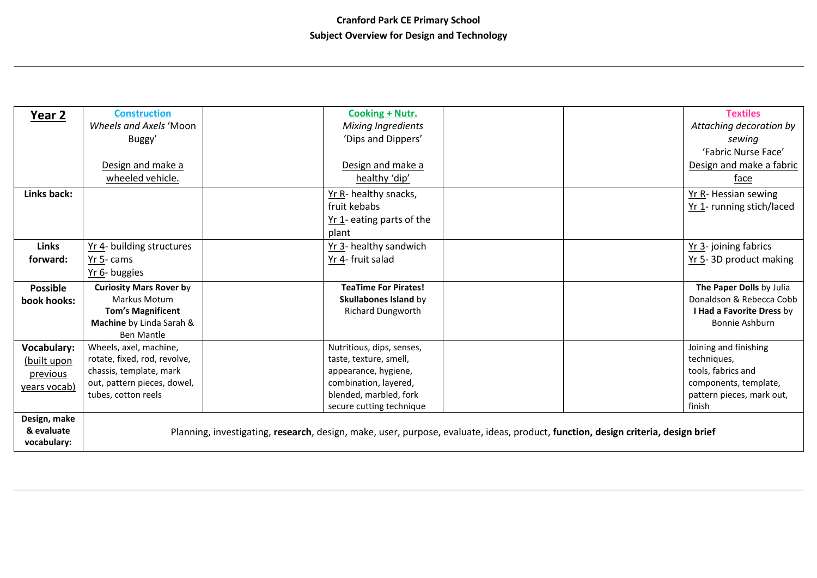| Year 2             | <b>Construction</b>            | <b>Cooking + Nutr.</b>      |                                                                                                                                   | <b>Textiles</b>           |
|--------------------|--------------------------------|-----------------------------|-----------------------------------------------------------------------------------------------------------------------------------|---------------------------|
|                    | Wheels and Axels 'Moon         | <b>Mixing Ingredients</b>   |                                                                                                                                   | Attaching decoration by   |
|                    | Buggy'                         | 'Dips and Dippers'          |                                                                                                                                   | sewing                    |
|                    |                                |                             |                                                                                                                                   | 'Fabric Nurse Face'       |
|                    | Design and make a              | Design and make a           |                                                                                                                                   | Design and make a fabric  |
|                    | wheeled vehicle.               | healthy 'dip'               |                                                                                                                                   | face                      |
| Links back:        |                                | Yr R- healthy snacks,       |                                                                                                                                   | Yr R- Hessian sewing      |
|                    |                                | fruit kebabs                |                                                                                                                                   | Yr 1- running stich/laced |
|                    |                                | Yr 1- eating parts of the   |                                                                                                                                   |                           |
|                    |                                | plant                       |                                                                                                                                   |                           |
| <b>Links</b>       | Yr 4- building structures      | Yr 3- healthy sandwich      |                                                                                                                                   | Yr 3- joining fabrics     |
| forward:           | $Yr$ 5- cams                   | Yr 4- fruit salad           |                                                                                                                                   | Yr 5-3D product making    |
|                    | Yr 6- buggies                  |                             |                                                                                                                                   |                           |
| <b>Possible</b>    | <b>Curiosity Mars Rover by</b> | <b>TeaTime For Pirates!</b> |                                                                                                                                   | The Paper Dolls by Julia  |
| book hooks:        | <b>Markus Motum</b>            | Skullabones Island by       |                                                                                                                                   | Donaldson & Rebecca Cobb  |
|                    | <b>Tom's Magnificent</b>       | <b>Richard Dungworth</b>    |                                                                                                                                   | I Had a Favorite Dress by |
|                    | Machine by Linda Sarah &       |                             |                                                                                                                                   | <b>Bonnie Ashburn</b>     |
|                    | <b>Ben Mantle</b>              |                             |                                                                                                                                   |                           |
| <b>Vocabulary:</b> | Wheels, axel, machine,         | Nutritious, dips, senses,   |                                                                                                                                   | Joining and finishing     |
| (built upon        | rotate, fixed, rod, revolve,   | taste, texture, smell,      |                                                                                                                                   | techniques,               |
| previous           | chassis, template, mark        | appearance, hygiene,        |                                                                                                                                   | tools, fabrics and        |
| years vocab)       | out, pattern pieces, dowel,    | combination, layered,       |                                                                                                                                   | components, template,     |
|                    | tubes, cotton reels            | blended, marbled, fork      |                                                                                                                                   | pattern pieces, mark out, |
|                    |                                | secure cutting technique    |                                                                                                                                   | finish                    |
| Design, make       |                                |                             |                                                                                                                                   |                           |
| & evaluate         |                                |                             | Planning, investigating, research, design, make, user, purpose, evaluate, ideas, product, function, design criteria, design brief |                           |
| vocabulary:        |                                |                             |                                                                                                                                   |                           |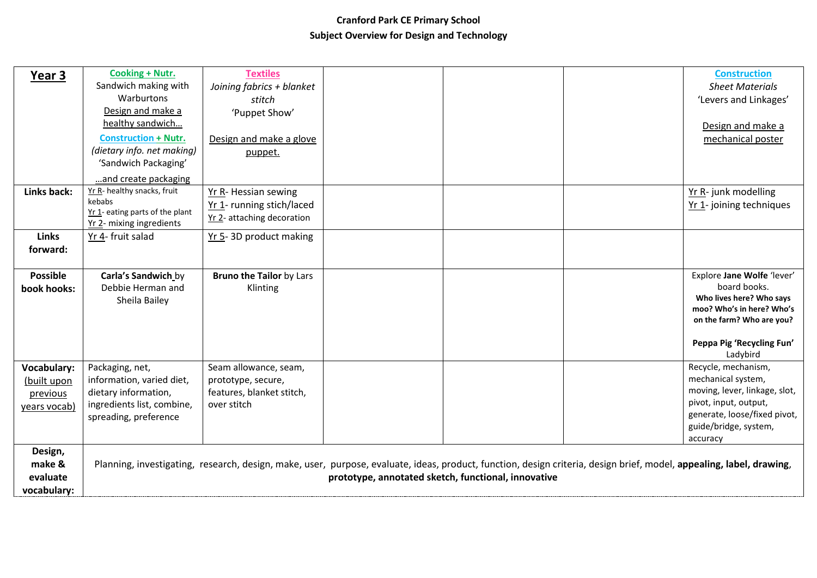## **Cranford Park CE Primary School Subject Overview for Design and Technology**

| Year 3             | Cooking + Nutr.                 | <b>Textiles</b>                 |                                                     |                                                                                                                                                                      | <b>Construction</b>                                   |
|--------------------|---------------------------------|---------------------------------|-----------------------------------------------------|----------------------------------------------------------------------------------------------------------------------------------------------------------------------|-------------------------------------------------------|
|                    | Sandwich making with            | Joining fabrics + blanket       |                                                     |                                                                                                                                                                      | <b>Sheet Materials</b>                                |
|                    | Warburtons                      | stitch                          |                                                     |                                                                                                                                                                      | 'Levers and Linkages'                                 |
|                    | Design and make a               | 'Puppet Show'                   |                                                     |                                                                                                                                                                      |                                                       |
|                    | healthy sandwich                |                                 |                                                     |                                                                                                                                                                      | Design and make a                                     |
|                    | <b>Construction + Nutr.</b>     | Design and make a glove         |                                                     |                                                                                                                                                                      | mechanical poster                                     |
|                    | (dietary info. net making)      | puppet.                         |                                                     |                                                                                                                                                                      |                                                       |
|                    | 'Sandwich Packaging'            |                                 |                                                     |                                                                                                                                                                      |                                                       |
|                    | and create packaging            |                                 |                                                     |                                                                                                                                                                      |                                                       |
| Links back:        | Yr R- healthy snacks, fruit     | Yr R- Hessian sewing            |                                                     |                                                                                                                                                                      | Yr R- junk modelling                                  |
|                    | kebabs                          | Yr 1- running stich/laced       |                                                     |                                                                                                                                                                      | Yr 1- joining techniques                              |
|                    | Yr 1- eating parts of the plant | Yr 2- attaching decoration      |                                                     |                                                                                                                                                                      |                                                       |
|                    | Yr 2- mixing ingredients        |                                 |                                                     |                                                                                                                                                                      |                                                       |
| <b>Links</b>       | Yr 4- fruit salad               | Yr 5-3D product making          |                                                     |                                                                                                                                                                      |                                                       |
| forward:           |                                 |                                 |                                                     |                                                                                                                                                                      |                                                       |
|                    |                                 |                                 |                                                     |                                                                                                                                                                      |                                                       |
| <b>Possible</b>    | Carla's Sandwich by             | <b>Bruno the Tailor by Lars</b> |                                                     |                                                                                                                                                                      | Explore Jane Wolfe 'lever'                            |
| book hooks:        | Debbie Herman and               | Klinting                        |                                                     |                                                                                                                                                                      | board books.                                          |
|                    | Sheila Bailey                   |                                 |                                                     |                                                                                                                                                                      | Who lives here? Who says<br>moo? Who's in here? Who's |
|                    |                                 |                                 |                                                     |                                                                                                                                                                      | on the farm? Who are you?                             |
|                    |                                 |                                 |                                                     |                                                                                                                                                                      |                                                       |
|                    |                                 |                                 |                                                     |                                                                                                                                                                      | Peppa Pig 'Recycling Fun'                             |
|                    |                                 |                                 |                                                     |                                                                                                                                                                      | Ladybird                                              |
| <b>Vocabulary:</b> | Packaging, net,                 | Seam allowance, seam,           |                                                     |                                                                                                                                                                      | Recycle, mechanism,                                   |
| (built upon        | information, varied diet,       | prototype, secure,              |                                                     |                                                                                                                                                                      | mechanical system,                                    |
| previous           | dietary information,            | features, blanket stitch,       |                                                     |                                                                                                                                                                      | moving, lever, linkage, slot,                         |
| years vocab)       | ingredients list, combine,      | over stitch                     |                                                     |                                                                                                                                                                      | pivot, input, output,                                 |
|                    | spreading, preference           |                                 |                                                     |                                                                                                                                                                      | generate, loose/fixed pivot,                          |
|                    |                                 |                                 |                                                     |                                                                                                                                                                      | guide/bridge, system,                                 |
|                    |                                 |                                 |                                                     |                                                                                                                                                                      | accuracy                                              |
| Design,            |                                 |                                 |                                                     |                                                                                                                                                                      |                                                       |
| make &             |                                 |                                 |                                                     | Planning, investigating, research, design, make, user, purpose, evaluate, ideas, product, function, design criteria, design brief, model, appealing, label, drawing, |                                                       |
| evaluate           |                                 |                                 | prototype, annotated sketch, functional, innovative |                                                                                                                                                                      |                                                       |
| vocabulary:        |                                 |                                 |                                                     |                                                                                                                                                                      |                                                       |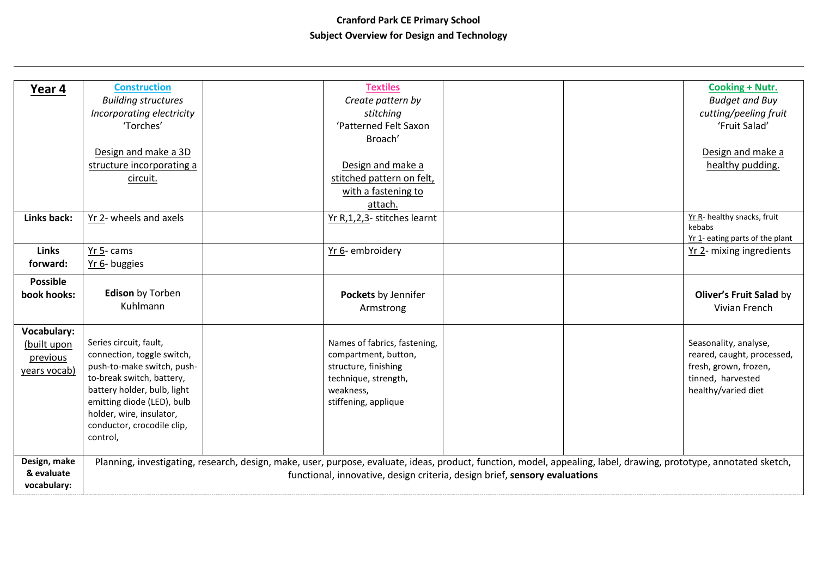## **Cranford Park CE Primary School Subject Overview for Design and Technology**

|                           | <b>Construction</b>         | <b>Textiles</b>              |                                                                                                                                                                    | <b>Cooking + Nutr.</b>          |
|---------------------------|-----------------------------|------------------------------|--------------------------------------------------------------------------------------------------------------------------------------------------------------------|---------------------------------|
| Year 4                    |                             | Create pattern by            |                                                                                                                                                                    | <b>Budget and Buy</b>           |
|                           | <b>Building structures</b>  |                              |                                                                                                                                                                    |                                 |
|                           | Incorporating electricity   | stitching                    |                                                                                                                                                                    | cutting/peeling fruit           |
|                           | 'Torches'                   | 'Patterned Felt Saxon        |                                                                                                                                                                    | 'Fruit Salad'                   |
|                           |                             | Broach'                      |                                                                                                                                                                    |                                 |
|                           | Design and make a 3D        |                              |                                                                                                                                                                    | Design and make a               |
|                           | structure incorporating a   | Design and make a            |                                                                                                                                                                    | healthy pudding.                |
|                           | circuit.                    | stitched pattern on felt,    |                                                                                                                                                                    |                                 |
|                           |                             | with a fastening to          |                                                                                                                                                                    |                                 |
|                           |                             | attach.                      |                                                                                                                                                                    |                                 |
| Links back:               | Yr 2- wheels and axels      | Yr R,1,2,3- stitches learnt  |                                                                                                                                                                    | Yr R- healthy snacks, fruit     |
|                           |                             |                              |                                                                                                                                                                    | kebabs                          |
|                           |                             |                              |                                                                                                                                                                    | Yr 1- eating parts of the plant |
| <b>Links</b>              | Yr 5-cams                   | Yr 6- embroidery             |                                                                                                                                                                    | Yr 2- mixing ingredients        |
| forward:                  | Yr 6- buggies               |                              |                                                                                                                                                                    |                                 |
| <b>Possible</b>           |                             |                              |                                                                                                                                                                    |                                 |
|                           |                             |                              |                                                                                                                                                                    |                                 |
| book hooks:               | <b>Edison</b> by Torben     | Pockets by Jennifer          |                                                                                                                                                                    | Oliver's Fruit Salad by         |
|                           | Kuhlmann                    | Armstrong                    |                                                                                                                                                                    | Vivian French                   |
|                           |                             |                              |                                                                                                                                                                    |                                 |
| <b>Vocabulary:</b>        |                             |                              |                                                                                                                                                                    |                                 |
| (built upon               | Series circuit, fault,      | Names of fabrics, fastening, |                                                                                                                                                                    | Seasonality, analyse,           |
| previous                  | connection, toggle switch,  | compartment, button,         |                                                                                                                                                                    | reared, caught, processed,      |
|                           | push-to-make switch, push-  | structure, finishing         |                                                                                                                                                                    | fresh, grown, frozen,           |
| years vocab)              | to-break switch, battery,   | technique, strength,         |                                                                                                                                                                    | tinned, harvested               |
|                           | battery holder, bulb, light | weakness,                    |                                                                                                                                                                    | healthy/varied diet             |
|                           | emitting diode (LED), bulb  | stiffening, applique         |                                                                                                                                                                    |                                 |
|                           | holder, wire, insulator,    |                              |                                                                                                                                                                    |                                 |
|                           | conductor, crocodile clip,  |                              |                                                                                                                                                                    |                                 |
|                           | control,                    |                              |                                                                                                                                                                    |                                 |
|                           |                             |                              |                                                                                                                                                                    |                                 |
| Design, make              |                             |                              | Planning, investigating, research, design, make, user, purpose, evaluate, ideas, product, function, model, appealing, label, drawing, prototype, annotated sketch, |                                 |
| & evaluate<br>vocabulary: |                             |                              | functional, innovative, design criteria, design brief, sensory evaluations                                                                                         |                                 |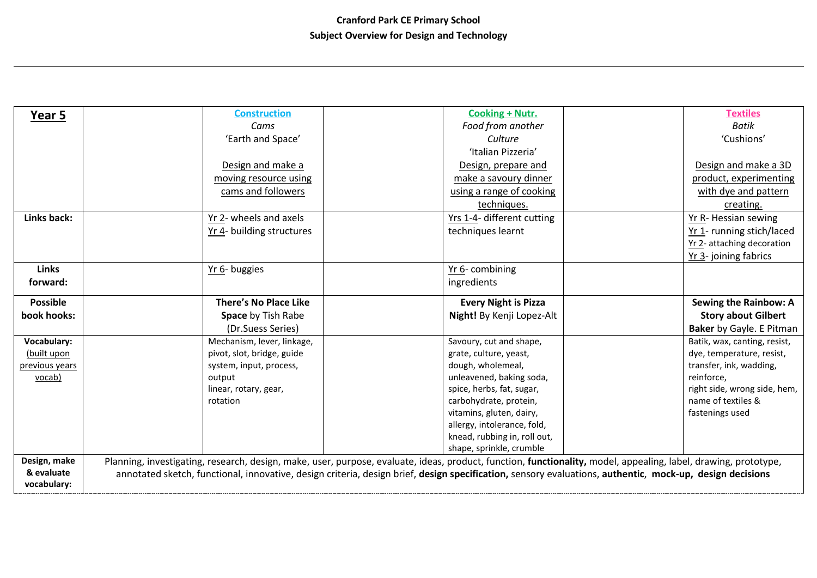| Year 5                     | <b>Construction</b>          | <b>Cooking + Nutr.</b>                                                                                                                                                                                                                                                                                                      | <b>Textiles</b>              |
|----------------------------|------------------------------|-----------------------------------------------------------------------------------------------------------------------------------------------------------------------------------------------------------------------------------------------------------------------------------------------------------------------------|------------------------------|
|                            | Cams                         | Food from another                                                                                                                                                                                                                                                                                                           | <b>Batik</b>                 |
|                            | 'Earth and Space'            | Culture                                                                                                                                                                                                                                                                                                                     | 'Cushions'                   |
|                            |                              | 'Italian Pizzeria'                                                                                                                                                                                                                                                                                                          |                              |
|                            | Design and make a            | Design, prepare and                                                                                                                                                                                                                                                                                                         | Design and make a 3D         |
|                            | moving resource using        | make a savoury dinner                                                                                                                                                                                                                                                                                                       | product, experimenting       |
|                            | cams and followers           | using a range of cooking                                                                                                                                                                                                                                                                                                    | with dye and pattern         |
|                            |                              | techniques.                                                                                                                                                                                                                                                                                                                 | creating.                    |
| Links back:                | Yr 2- wheels and axels       | Yrs 1-4- different cutting                                                                                                                                                                                                                                                                                                  | Yr R- Hessian sewing         |
|                            | Yr 4- building structures    | techniques learnt                                                                                                                                                                                                                                                                                                           | Yr 1- running stich/laced    |
|                            |                              |                                                                                                                                                                                                                                                                                                                             | Yr 2- attaching decoration   |
|                            |                              |                                                                                                                                                                                                                                                                                                                             | Yr 3- joining fabrics        |
| <b>Links</b>               | Yr 6- buggies                | Yr 6-combining                                                                                                                                                                                                                                                                                                              |                              |
| forward:                   |                              | ingredients                                                                                                                                                                                                                                                                                                                 |                              |
|                            |                              |                                                                                                                                                                                                                                                                                                                             |                              |
| <b>Possible</b>            | <b>There's No Place Like</b> | <b>Every Night is Pizza</b>                                                                                                                                                                                                                                                                                                 | <b>Sewing the Rainbow: A</b> |
| book hooks:                | Space by Tish Rabe           | Night! By Kenji Lopez-Alt                                                                                                                                                                                                                                                                                                   | <b>Story about Gilbert</b>   |
|                            | (Dr.Suess Series)            |                                                                                                                                                                                                                                                                                                                             | Baker by Gayle. E Pitman     |
| Vocabulary:                | Mechanism, lever, linkage,   | Savoury, cut and shape,                                                                                                                                                                                                                                                                                                     | Batik, wax, canting, resist, |
| (built upon                | pivot, slot, bridge, guide   | grate, culture, yeast,                                                                                                                                                                                                                                                                                                      | dye, temperature, resist,    |
| previous years             | system, input, process,      | dough, wholemeal,                                                                                                                                                                                                                                                                                                           | transfer, ink, wadding,      |
| vocab)                     | output                       | unleavened, baking soda,                                                                                                                                                                                                                                                                                                    | reinforce,                   |
|                            | linear, rotary, gear,        | spice, herbs, fat, sugar,                                                                                                                                                                                                                                                                                                   | right side, wrong side, hem, |
|                            | rotation                     | carbohydrate, protein,                                                                                                                                                                                                                                                                                                      | name of textiles &           |
|                            |                              | vitamins, gluten, dairy,                                                                                                                                                                                                                                                                                                    | fastenings used              |
|                            |                              | allergy, intolerance, fold,                                                                                                                                                                                                                                                                                                 |                              |
|                            |                              | knead, rubbing in, roll out,                                                                                                                                                                                                                                                                                                |                              |
|                            |                              | shape, sprinkle, crumble                                                                                                                                                                                                                                                                                                    |                              |
| Design, make<br>& evaluate |                              | Planning, investigating, research, design, make, user, purpose, evaluate, ideas, product, function, functionality, model, appealing, label, drawing, prototype,<br>annotated sketch, functional, innovative, design criteria, design brief, design specification, sensory evaluations, authentic, mock-up, design decisions |                              |